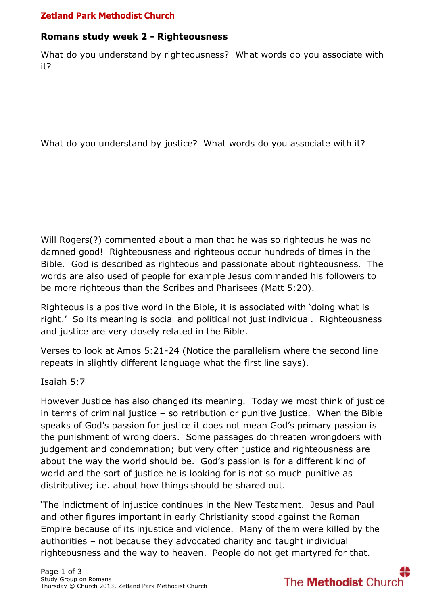# **Zetland Park Methodist Church**

### **Romans study week 2 - Righteousness**

What do you understand by righteousness? What words do you associate with it?

What do you understand by justice? What words do you associate with it?

Will Rogers(?) commented about a man that he was so righteous he was no damned good! Righteousness and righteous occur hundreds of times in the Bible. God is described as righteous and passionate about righteousness. The words are also used of people for example Jesus commanded his followers to be more righteous than the Scribes and Pharisees (Matt 5:20).

Righteous is a positive word in the Bible, it is associated with 'doing what is right.' So its meaning is social and political not just individual. Righteousness and justice are very closely related in the Bible.

Verses to look at Amos 5:21-24 (Notice the parallelism where the second line repeats in slightly different language what the first line says).

Isaiah 5:7

However Justice has also changed its meaning. Today we most think of justice in terms of criminal justice – so retribution or punitive justice. When the Bible speaks of God's passion for justice it does not mean God's primary passion is the punishment of wrong doers. Some passages do threaten wrongdoers with judgement and condemnation; but very often justice and righteousness are about the way the world should be. God's passion is for a different kind of world and the sort of justice he is looking for is not so much punitive as distributive; i.e. about how things should be shared out.

'The indictment of injustice continues in the New Testament. Jesus and Paul and other figures important in early Christianity stood against the Roman Empire because of its injustice and violence. Many of them were killed by the authorities – not because they advocated charity and taught individual righteousness and the way to heaven. People do not get martyred for that.

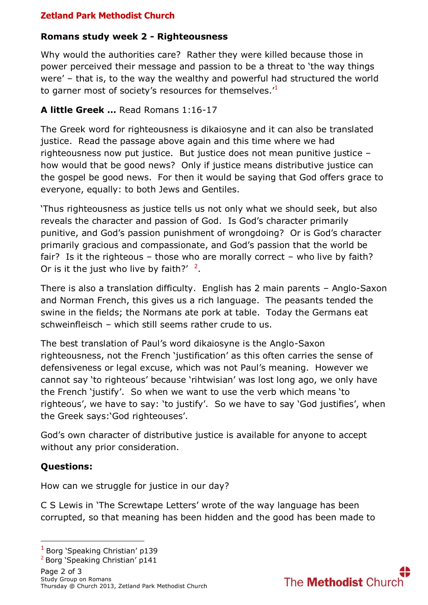# **Zetland Park Methodist Church**

### **Romans study week 2 - Righteousness**

Why would the authorities care? Rather they were killed because those in power perceived their message and passion to be a threat to 'the way things were' – that is, to the way the wealthy and powerful had structured the world to garner most of society's resources for themselves.<sup>'1</sup>

# **A little Greek …** Read Romans 1:16-17

The Greek word for righteousness is dikaiosyne and it can also be translated justice. Read the passage above again and this time where we had righteousness now put justice. But justice does not mean punitive justice – how would that be good news? Only if justice means distributive justice can the gospel be good news. For then it would be saying that God offers grace to everyone, equally: to both Jews and Gentiles.

'Thus righteousness as justice tells us not only what we should seek, but also reveals the character and passion of God. Is God's character primarily punitive, and God's passion punishment of wrongdoing? Or is God's character primarily gracious and compassionate, and God's passion that the world be fair? Is it the righteous – those who are morally correct – who live by faith? Or is it the just who live by faith?'  $2$ .

There is also a translation difficulty. English has 2 main parents – Anglo-Saxon and Norman French, this gives us a rich language. The peasants tended the swine in the fields; the Normans ate pork at table. Today the Germans eat schweinfleisch – which still seems rather crude to us.

The best translation of Paul's word dikaiosyne is the Anglo-Saxon righteousness, not the French 'justification' as this often carries the sense of defensiveness or legal excuse, which was not Paul's meaning. However we cannot say 'to righteous' because 'rihtwisian' was lost long ago, we only have the French 'justify'. So when we want to use the verb which means 'to righteous', we have to say: 'to justify'. So we have to say 'God justifies', when the Greek says:'God righteouses'.

God's own character of distributive justice is available for anyone to accept without any prior consideration.

### **Questions:**

**.** 

How can we struggle for justice in our day?

C S Lewis in 'The Screwtape Letters' wrote of the way language has been corrupted, so that meaning has been hidden and the good has been made to

<sup>2</sup> Borg 'Speaking Christian' p141



<sup>1</sup> Borg 'Speaking Christian' p139